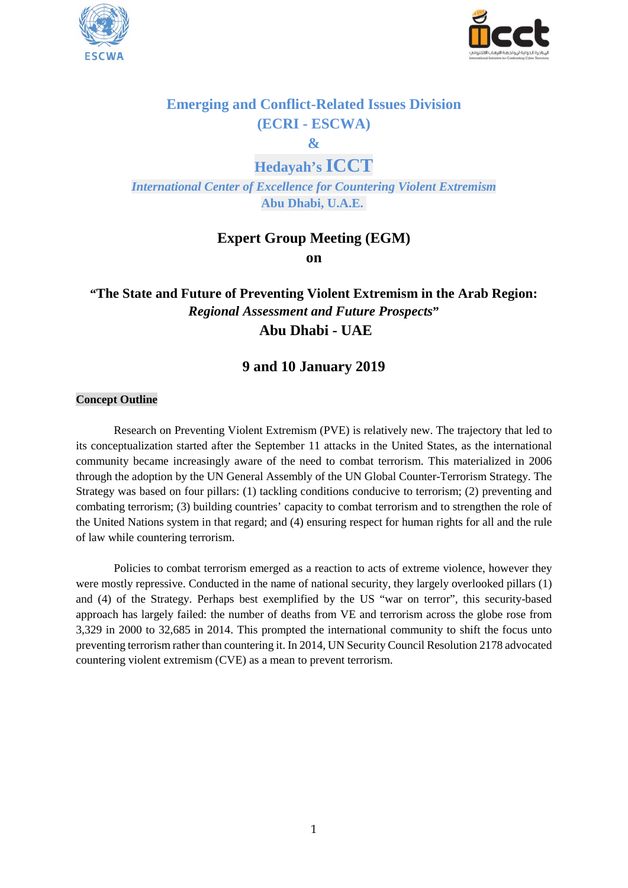



# **Emerging and Conflict-Related Issues Division (ECRI - ESCWA)**

**&**

**Hedayah's ICCT**

*International Center of Excellence for Countering Violent Extremism* **Abu Dhabi, U.A.E.**

# **Expert Group Meeting (EGM)**

**on**

# **"The State and Future of Preventing Violent Extremism in the Arab Region:** *Regional Assessment and Future Prospects***" Abu Dhabi - UAE**

# **9 and 10 January 2019**

### **Concept Outline**

Research on Preventing Violent Extremism (PVE) is relatively new. The trajectory that led to its conceptualization started after the September 11 attacks in the United States, as the international community became increasingly aware of the need to combat terrorism. This materialized in 2006 through the adoption by the UN General Assembly of the UN Global Counter-Terrorism Strategy. The Strategy was based on four pillars: (1) tackling conditions conducive to terrorism; (2) preventing and combating terrorism; (3) building countries' capacity to combat terrorism and to strengthen the role of the United Nations system in that regard; and (4) ensuring respect for human rights for all and the rule of law while countering terrorism.

Policies to combat terrorism emerged as a reaction to acts of extreme violence, however they were mostly repressive. Conducted in the name of national security, they largely overlooked pillars (1) and (4) of the Strategy. Perhaps best exemplified by the US "war on terror", this security-based approach has largely failed: the number of deaths from VE and terrorism across the globe rose from 3,329 in 2000 to 32,685 in 2014. This prompted the international community to shift the focus unto preventing terrorism rather than countering it. In 2014, UN Security Council Resolution 2178 advocated countering violent extremism (CVE) as a mean to prevent terrorism.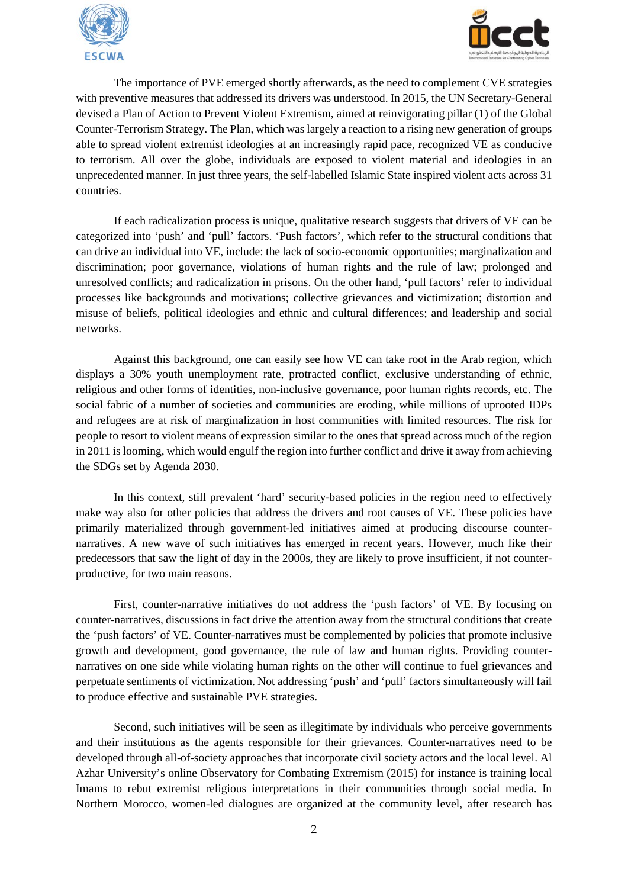



The importance of PVE emerged shortly afterwards, as the need to complement CVE strategies with preventive measures that addressed its drivers was understood. In 2015, the UN Secretary-General devised a Plan of Action to Prevent Violent Extremism, aimed at reinvigorating pillar (1) of the Global Counter-Terrorism Strategy. The Plan, which was largely a reaction to a rising new generation of groups able to spread violent extremist ideologies at an increasingly rapid pace, recognized VE as conducive to terrorism. All over the globe, individuals are exposed to violent material and ideologies in an unprecedented manner. In just three years, the self-labelled Islamic State inspired violent acts across 31 countries.

If each radicalization process is unique, qualitative research suggests that drivers of VE can be categorized into 'push' and 'pull' factors. 'Push factors', which refer to the structural conditions that can drive an individual into VE, include: the lack of socio-economic opportunities; marginalization and discrimination; poor governance, violations of human rights and the rule of law; prolonged and unresolved conflicts; and radicalization in prisons. On the other hand, 'pull factors' refer to individual processes like backgrounds and motivations; collective grievances and victimization; distortion and misuse of beliefs, political ideologies and ethnic and cultural differences; and leadership and social networks.

Against this background, one can easily see how VE can take root in the Arab region, which displays a 30% youth unemployment rate, protracted conflict, exclusive understanding of ethnic, religious and other forms of identities, non-inclusive governance, poor human rights records, etc. The social fabric of a number of societies and communities are eroding, while millions of uprooted IDPs and refugees are at risk of marginalization in host communities with limited resources. The risk for people to resort to violent means of expression similar to the ones that spread across much of the region in 2011 is looming, which would engulf the region into further conflict and drive it away from achieving the SDGs set by Agenda 2030.

In this context, still prevalent 'hard' security-based policies in the region need to effectively make way also for other policies that address the drivers and root causes of VE. These policies have primarily materialized through government-led initiatives aimed at producing discourse counternarratives. A new wave of such initiatives has emerged in recent years. However, much like their predecessors that saw the light of day in the 2000s, they are likely to prove insufficient, if not counterproductive, for two main reasons.

First, counter-narrative initiatives do not address the 'push factors' of VE. By focusing on counter-narratives, discussions in fact drive the attention away from the structural conditions that create the 'push factors' of VE. Counter-narratives must be complemented by policies that promote inclusive growth and development, good governance, the rule of law and human rights. Providing counternarratives on one side while violating human rights on the other will continue to fuel grievances and perpetuate sentiments of victimization. Not addressing 'push' and 'pull' factors simultaneously will fail to produce effective and sustainable PVE strategies.

Second, such initiatives will be seen as illegitimate by individuals who perceive governments and their institutions as the agents responsible for their grievances. Counter-narratives need to be developed through all-of-society approaches that incorporate civil society actors and the local level. Al Azhar University's online Observatory for Combating Extremism (2015) for instance is training local Imams to rebut extremist religious interpretations in their communities through social media. In Northern Morocco, women-led dialogues are organized at the community level, after research has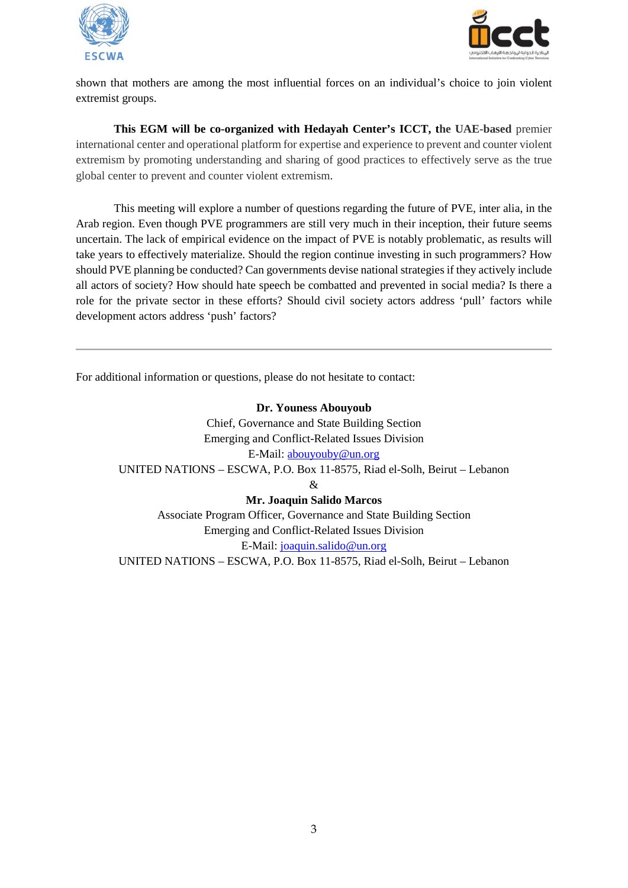



shown that mothers are among the most influential forces on an individual's choice to join violent extremist groups.

**This EGM will be co-organized with Hedayah Center's ICCT, the UAE-based** premier international center and operational platform for expertise and experience to prevent and counter violent extremism by promoting understanding and sharing of good practices to effectively serve as the true global center to prevent and counter violent extremism.

This meeting will explore a number of questions regarding the future of PVE, inter alia, in the Arab region. Even though PVE programmers are still very much in their inception, their future seems uncertain. The lack of empirical evidence on the impact of PVE is notably problematic, as results will take years to effectively materialize. Should the region continue investing in such programmers? How should PVE planning be conducted? Can governments devise national strategies if they actively include all actors of society? How should hate speech be combatted and prevented in social media? Is there a role for the private sector in these efforts? Should civil society actors address 'pull' factors while development actors address 'push' factors?

For additional information or questions, please do not hesitate to contact:

**Dr. Youness Abouyoub** Chief, Governance and State Building Section Emerging and Conflict-Related Issues Division E-Mail: [abouyouby@un.org](mailto:abouyouby@un.org) UNITED NATIONS – ESCWA, P.O. Box 11-8575, Riad el-Solh, Beirut – Lebanon & **Mr. Joaquin Salido Marcos** Associate Program Officer, Governance and State Building Section Emerging and Conflict-Related Issues Division E-Mail: [joaquin.salido@un.org](mailto:joaquin.salido@un.org)

UNITED NATIONS – ESCWA, P.O. Box 11-8575, Riad el-Solh, Beirut – Lebanon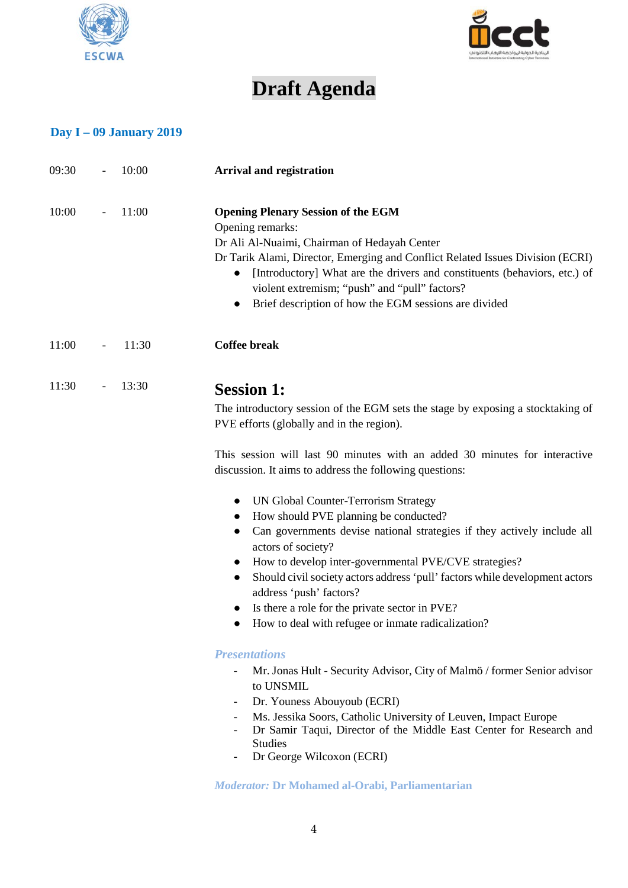



# **Draft Agenda**

# **Day I – 09 January 2019**

| 09:30 |                          | 10:00 | <b>Arrival and registration</b>                                                                                                                                                                                                                                                                                                                                                                                                                                        |
|-------|--------------------------|-------|------------------------------------------------------------------------------------------------------------------------------------------------------------------------------------------------------------------------------------------------------------------------------------------------------------------------------------------------------------------------------------------------------------------------------------------------------------------------|
| 10:00 |                          | 11:00 | <b>Opening Plenary Session of the EGM</b><br>Opening remarks:<br>Dr Ali Al-Nuaimi, Chairman of Hedayah Center<br>Dr Tarik Alami, Director, Emerging and Conflict Related Issues Division (ECRI)<br>[Introductory] What are the drivers and constituents (behaviors, etc.) of<br>violent extremism; "push" and "pull" factors?<br>Brief description of how the EGM sessions are divided                                                                                 |
| 11:00 | $\overline{\phantom{a}}$ | 11:30 | <b>Coffee break</b>                                                                                                                                                                                                                                                                                                                                                                                                                                                    |
| 11:30 |                          | 13:30 | <b>Session 1:</b><br>The introductory session of the EGM sets the stage by exposing a stocktaking of<br>PVE efforts (globally and in the region).<br>This session will last 90 minutes with an added 30 minutes for interactive<br>discussion. It aims to address the following questions:                                                                                                                                                                             |
|       |                          |       | UN Global Counter-Terrorism Strategy<br>How should PVE planning be conducted?<br>Can governments devise national strategies if they actively include all<br>actors of society?<br>How to develop inter-governmental PVE/CVE strategies?<br>Should civil society actors address 'pull' factors while development actors<br>$\bullet$<br>address 'push' factors?<br>Is there a role for the private sector in PVE?<br>How to deal with refugee or inmate radicalization? |
|       |                          |       | <b>Presentations</b><br>Mr. Jonas Hult - Security Advisor, City of Malmö / former Senior advisor<br>to UNSMIL<br>Dr. Youness Abouyoub (ECRI)<br>Ms. Jessika Soors, Catholic University of Leuven, Impact Europe<br>$\overline{\phantom{a}}$<br>Dr Samir Taqui, Director of the Middle East Center for Research and<br><b>Studies</b><br>Dr George Wilcoxon (ECRI)<br>Moderator: Dr Mohamed al-Orabi, Parliamentarian                                                   |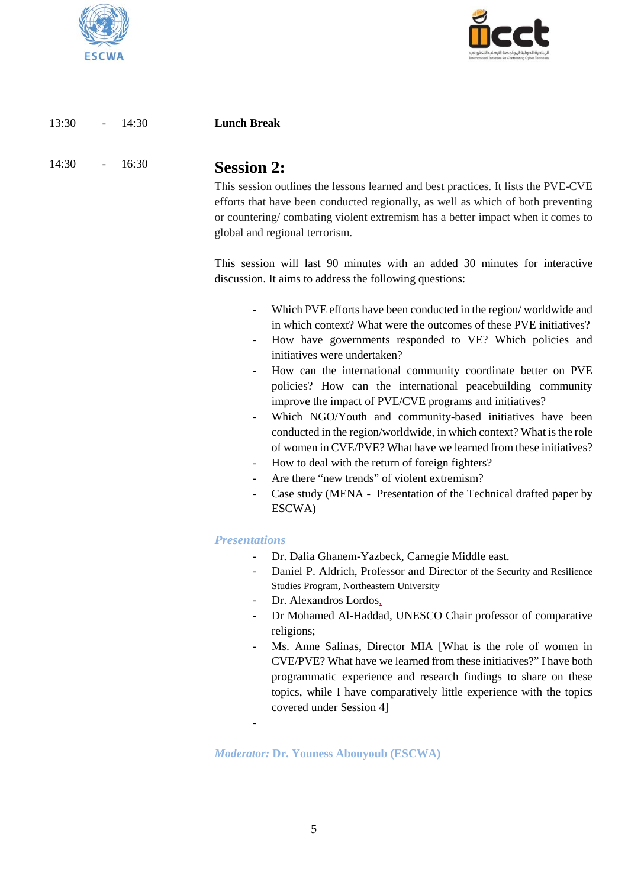



| 13:30<br>$-14:30$   |       | <b>Lunch Break</b>                                                                                                                                                                                                                                                                                              |
|---------------------|-------|-----------------------------------------------------------------------------------------------------------------------------------------------------------------------------------------------------------------------------------------------------------------------------------------------------------------|
| 14:30<br>$\sim 100$ | 16:30 | <b>Session 2:</b><br>This session outlines the lessons learned and best practices. It lists the PVE-CVE<br>efforts that have been conducted regionally, as well as which of both preventing<br>or countering/combating violent extremism has a better impact when it comes to<br>global and regional terrorism. |

This session will last 90 minutes with an added 30 minutes for interactive discussion. It aims to address the following questions:

- Which PVE efforts have been conducted in the region/worldwide and in which context? What were the outcomes of these PVE initiatives?
- How have governments responded to VE? Which policies and initiatives were undertaken?
- How can the international community coordinate better on PVE policies? How can the international peacebuilding community improve the impact of PVE/CVE programs and initiatives?
- Which NGO/Youth and community-based initiatives have been conducted in the region/worldwide, in which context? What is the role of women in CVE/PVE? What have we learned from these initiatives?
- How to deal with the return of foreign fighters?
- Are there "new trends" of violent extremism?
- Case study (MENA Presentation of the Technical drafted paper by ESCWA)

### *Presentations*

-

- Dr. Dalia Ghanem-Yazbeck, Carnegie Middle east.
- Daniel P. Aldrich, Professor and Director of the Security and Resilience Studies Program, Northeastern University
- Dr. Alexandros Lordos,
- Dr Mohamed Al-Haddad, UNESCO Chair professor of comparative religions;
- Ms. Anne Salinas, Director MIA [What is the role of women in CVE/PVE? What have we learned from these initiatives?" I have both programmatic experience and research findings to share on these topics, while I have comparatively little experience with the topics covered under Session 4]

*Moderator:* **Dr. Youness Abouyoub (ESCWA)**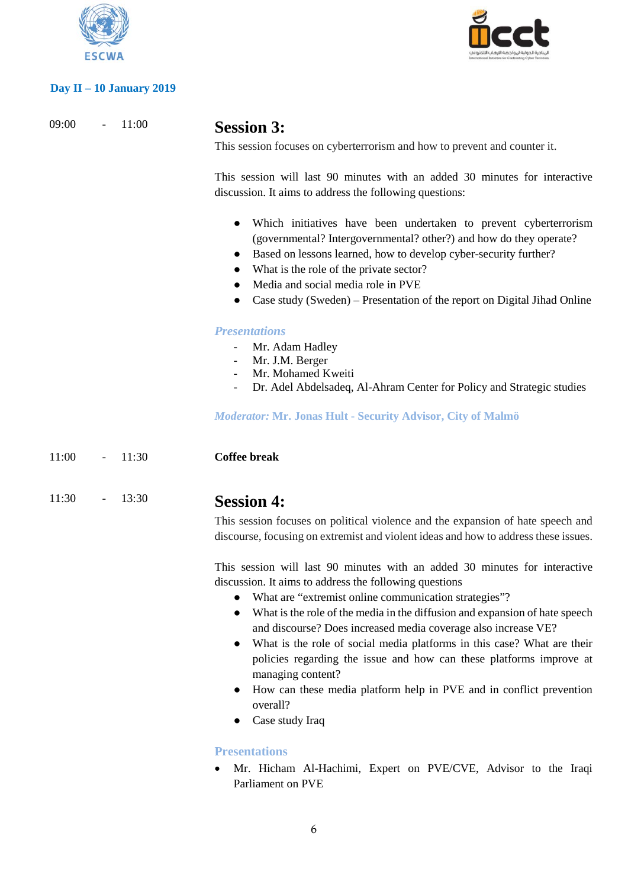

## **Day II – 10 January 2019**



09:00 - 11:00 **Session 3:** 

This session focuses on cyberterrorism and how to prevent and counter it.

This session will last 90 minutes with an added 30 minutes for interactive discussion. It aims to address the following questions:

- Which initiatives have been undertaken to prevent cyberterrorism (governmental? Intergovernmental? other?) and how do they operate?
- Based on lessons learned, how to develop cyber-security further?
- What is the role of the private sector?
- Media and social media role in PVE
- Case study (Sweden) Presentation of the report on Digital Jihad Online

### *Presentations*

- Mr. Adam Hadley
- Mr. J.M. Berger
- Mr. Mohamed Kweiti
- Dr. Adel Abdelsadeq, Al-Ahram Center for Policy and Strategic studies

*Moderator:* **Mr. Jonas Hult - Security Advisor, City of Malmö**

11:00 - 11:30 **Coffee break**

# 11:30 - 13:30 **Session 4:**

This session focuses on political violence and the expansion of hate speech and discourse, focusing on extremist and violent ideas and how to address these issues.

This session will last 90 minutes with an added 30 minutes for interactive discussion. It aims to address the following questions

- What are "extremist online communication strategies"?
- What is the role of the media in the diffusion and expansion of hate speech and discourse? Does increased media coverage also increase VE?
- What is the role of social media platforms in this case? What are their policies regarding the issue and how can these platforms improve at managing content?
- How can these media platform help in PVE and in conflict prevention overall?
- Case study Iraq

### **Presentations**

• Mr. Hicham Al-Hachimi, Expert on PVE/CVE, Advisor to the Iraqi Parliament on PVE